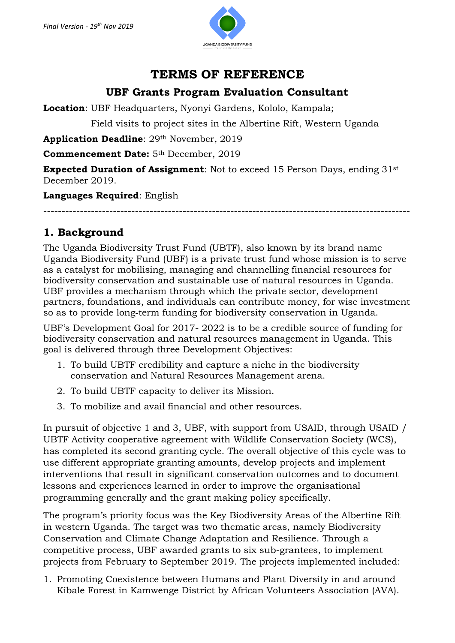

# **TERMS OF REFERENCE**

## **UBF Grants Program Evaluation Consultant**

**Location**: UBF Headquarters, Nyonyi Gardens, Kololo, Kampala;

Field visits to project sites in the Albertine Rift, Western Uganda

**Application Deadline**: 29th November, 2019

**Commencement Date:** 5th December, 2019

**Expected Duration of Assignment**: Not to exceed 15 Person Days, ending 31<sup>st</sup> December 2019.

**Languages Required**: English

----------------------------------------------------------------------------------------------------

### **1. Background**

The Uganda Biodiversity Trust Fund (UBTF), also known by its brand name Uganda Biodiversity Fund (UBF) is a private trust fund whose mission is to serve as a catalyst for mobilising, managing and channelling financial resources for biodiversity conservation and sustainable use of natural resources in Uganda. UBF provides a mechanism through which the private sector, development partners, foundations, and individuals can contribute money, for wise investment so as to provide long‐term funding for biodiversity conservation in Uganda.

UBF's Development Goal for 2017- 2022 is to be a credible source of funding for biodiversity conservation and natural resources management in Uganda. This goal is delivered through three Development Objectives:

- 1. To build UBTF credibility and capture a niche in the biodiversity conservation and Natural Resources Management arena.
- 2. To build UBTF capacity to deliver its Mission.
- 3. To mobilize and avail financial and other resources.

In pursuit of objective 1 and 3, UBF, with support from USAID, through USAID / UBTF Activity cooperative agreement with Wildlife Conservation Society (WCS), has completed its second granting cycle. The overall objective of this cycle was to use different appropriate granting amounts, develop projects and implement interventions that result in significant conservation outcomes and to document lessons and experiences learned in order to improve the organisational programming generally and the grant making policy specifically.

The program's priority focus was the Key Biodiversity Areas of the Albertine Rift in western Uganda. The target was two thematic areas, namely Biodiversity Conservation and Climate Change Adaptation and Resilience. Through a competitive process, UBF awarded grants to six sub-grantees, to implement projects from February to September 2019. The projects implemented included:

1. Promoting Coexistence between Humans and Plant Diversity in and around Kibale Forest in Kamwenge District by African Volunteers Association (AVA).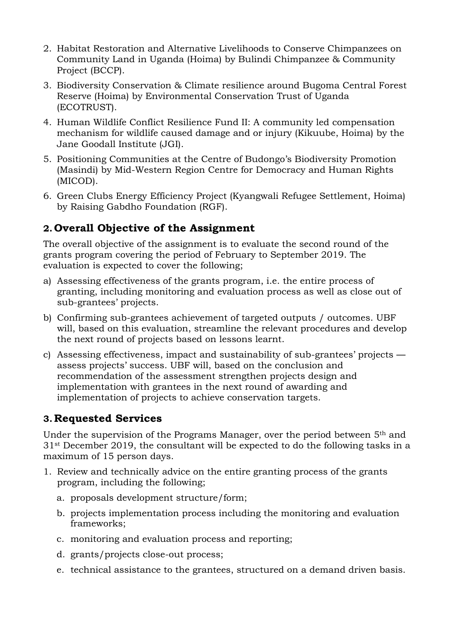- 2. Habitat Restoration and Alternative Livelihoods to Conserve Chimpanzees on Community Land in Uganda (Hoima) by Bulindi Chimpanzee & Community Project (BCCP).
- 3. Biodiversity Conservation & Climate resilience around Bugoma Central Forest Reserve (Hoima) by Environmental Conservation Trust of Uganda (ECOTRUST).
- 4. Human Wildlife Conflict Resilience Fund II: A community led compensation mechanism for wildlife caused damage and or injury (Kikuube, Hoima) by the Jane Goodall Institute (JGI).
- 5. Positioning Communities at the Centre of Budongo's Biodiversity Promotion (Masindi) by Mid-Western Region Centre for Democracy and Human Rights (MICOD).
- 6. Green Clubs Energy Efficiency Project (Kyangwali Refugee Settlement, Hoima) by Raising Gabdho Foundation (RGF).

### **2. Overall Objective of the Assignment**

The overall objective of the assignment is to evaluate the second round of the grants program covering the period of February to September 2019. The evaluation is expected to cover the following;

- a) Assessing effectiveness of the grants program, i.e. the entire process of granting, including monitoring and evaluation process as well as close out of sub-grantees' projects.
- b) Confirming sub-grantees achievement of targeted outputs / outcomes. UBF will, based on this evaluation, streamline the relevant procedures and develop the next round of projects based on lessons learnt.
- c) Assessing effectiveness, impact and sustainability of sub-grantees' projects assess projects' success. UBF will, based on the conclusion and recommendation of the assessment strengthen projects design and implementation with grantees in the next round of awarding and implementation of projects to achieve conservation targets.

#### **3.Requested Services**

Under the supervision of the Programs Manager, over the period between 5th and 31st December 2019, the consultant will be expected to do the following tasks in a maximum of 15 person days.

- 1. Review and technically advice on the entire granting process of the grants program, including the following;
	- a. proposals development structure/form;
	- b. projects implementation process including the monitoring and evaluation frameworks;
	- c. monitoring and evaluation process and reporting;
	- d. grants/projects close-out process;
	- e. technical assistance to the grantees, structured on a demand driven basis.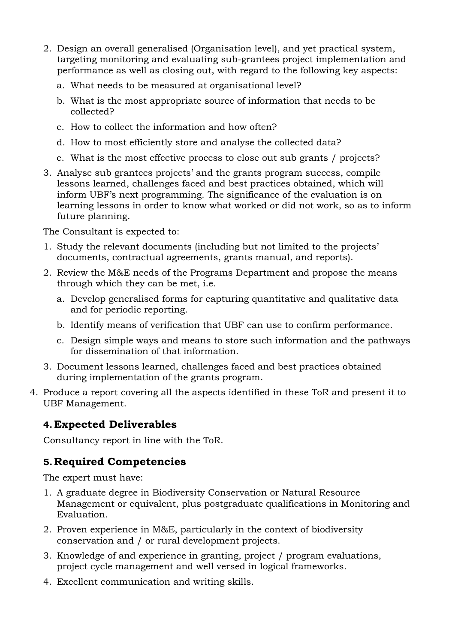- 2. Design an overall generalised (Organisation level), and yet practical system, targeting monitoring and evaluating sub-grantees project implementation and performance as well as closing out, with regard to the following key aspects:
	- a. What needs to be measured at organisational level?
	- b. What is the most appropriate source of information that needs to be collected?
	- c. How to collect the information and how often?
	- d. How to most efficiently store and analyse the collected data?
	- e. What is the most effective process to close out sub grants / projects?
- 3. Analyse sub grantees projects' and the grants program success, compile lessons learned, challenges faced and best practices obtained, which will inform UBF's next programming. The significance of the evaluation is on learning lessons in order to know what worked or did not work, so as to inform future planning.

The Consultant is expected to:

- 1. Study the relevant documents (including but not limited to the projects' documents, contractual agreements, grants manual, and reports).
- 2. Review the M&E needs of the Programs Department and propose the means through which they can be met, i.e.
	- a. Develop generalised forms for capturing quantitative and qualitative data and for periodic reporting.
	- b. Identify means of verification that UBF can use to confirm performance.
	- c. Design simple ways and means to store such information and the pathways for dissemination of that information.
- 3. Document lessons learned, challenges faced and best practices obtained during implementation of the grants program.
- 4. Produce a report covering all the aspects identified in these ToR and present it to UBF Management.

#### **4. Expected Deliverables**

Consultancy report in line with the ToR.

#### **5.Required Competencies**

The expert must have:

- 1. A graduate degree in Biodiversity Conservation or Natural Resource Management or equivalent, plus postgraduate qualifications in Monitoring and Evaluation.
- 2. Proven experience in M&E, particularly in the context of biodiversity conservation and / or rural development projects.
- 3. Knowledge of and experience in granting, project / program evaluations, project cycle management and well versed in logical frameworks.
- 4. Excellent communication and writing skills.